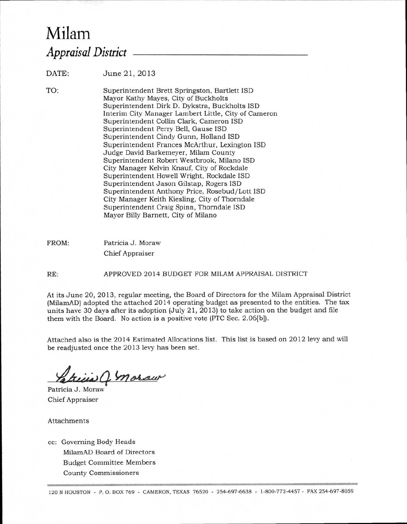## Milam *Appraisal District*

DATE: June 21, 2013

TO:

Superintendent Brett Springston, Bartlett ISD Mayor Kathy Mayes, City of Buckholts Superintendent Dirk D. Dykstra, Buckholts ISD Interim City Manager Lambert Little, City of Cameron Superintendent Collin Clark, Cameron ISD Superintendent Perry Bell, Gause ISD Superintendent Cindy Gunn, Holland ISD Superintendent Frances McArthur, Lexington ISD Judge David Barkemeyer, Milam County Superintendent Robert Westbrook, Milano ISD City Manager Kelvin Knauf, City of Rockdale Superintendent Howell Wright, Rockdale ISD Superintendent Jason Gilstap, Rogers ISD Superintendent Anthony Price, Rosebud/Lott ISD City Manager Keith Kiesling, City of Thorndale Superintendent Craig Spinn, Thorndale ISD

FROM: Patricia J. Moraw Chief Appraiser

RE: APPROVED 2014 BUDGET FOR MILAM APPRAISAL DISTRICT

Mayor Billy Barnett, City of Milano

At its June 20, 2013, regular meeting, the Board of Directors for the Milam Appraisal District (MilamAD) adopted the attached 2014 operating budget as presented to the entities. The tax units have 30 days after its adoption (July 21, 2013) to take action on the budget and file them with the Board. No action is a positive vote (PTC Sec. 2.06[b]).

Attached also is the 2014 Estimated Allocations list. This list is based on 2012 levy and will be readjusted once the 2013 levy has been set.

UC moraw

Patricia J. Moraw Chief Appraiser

Attachments

cc: Governing Body Heads MilamAD Board of Directors Budget Committee Members County Commissioners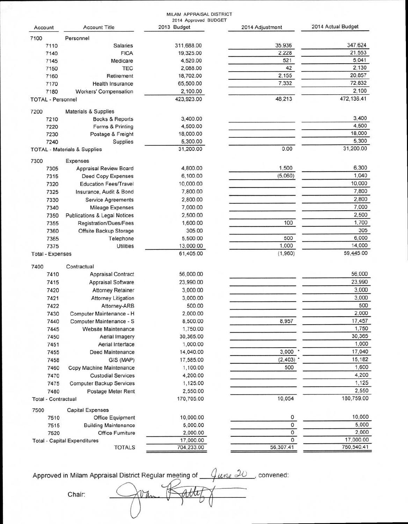|                                                      |                                         | MILAM APPRAISAL DISTRICT            |                 |                    |
|------------------------------------------------------|-----------------------------------------|-------------------------------------|-----------------|--------------------|
| Account                                              | <b>Account Title</b>                    | 2014 Approved BUDGET<br>2013 Budget | 2014 Adjustment | 2014 Actual Budget |
| 7100                                                 | Personnel                               |                                     |                 |                    |
| 7110                                                 | <b>Salaries</b>                         | 311,688.00                          | 35,936          | 347,624            |
| 7140                                                 | <b>FICA</b>                             | 19,325.00                           | 2,228           | 21,553             |
| 7145                                                 | Medicare                                | 4,520.00                            | 521             | 5,041              |
| 7150                                                 | <b>TEC</b>                              | 2,088.00                            | 42              | 2,130              |
| 7160                                                 | Retirement                              | 18,702.00                           | 2,155           | 20,857             |
| 7170                                                 | <b>Health Insurance</b>                 | 65,500.00                           | 7,332           | 72,832             |
| 7180                                                 | <b>Workers' Compensation</b>            | 2,100.00                            |                 | 2,100              |
| <b>TOTAL - Personnel</b>                             |                                         | 423,923.00                          | 48,213          | 472,136.41         |
| 7200                                                 | <b>Materials &amp; Supplies</b>         |                                     |                 |                    |
| 7210                                                 | Books & Reports                         | 3,400.00                            |                 | 3,400              |
| 7220                                                 | Forms & Printing                        | 4,500.00                            |                 | 4,500              |
| 7230                                                 | Postage & Freight                       | 18,000.00                           |                 | 18,000             |
| 7240                                                 | Supplies                                | 5,300.00                            |                 | 5,300              |
| <b>TOTAL - Materials &amp; Supplies</b>              |                                         | 31,200.00                           | 0.00            | 31,200.00          |
| 7300                                                 | <b>Expenses</b>                         |                                     |                 |                    |
| 7305                                                 | <b>Appraisal Review Board</b>           | 4,800.00                            | 1,500           | 6,300              |
| 7315                                                 | Deed Copy Expenses                      | 6,100.00                            | (5,060)         | 1,040              |
| 7320                                                 | <b>Education Fees/Travel</b>            | 10,000.00                           |                 | 10,000             |
| 7325                                                 | Insurance, Audit & Bond                 | 7,800.00                            |                 | 7,800              |
| 7330                                                 | <b>Service Agreements</b>               | 2,800.00                            |                 | 2,800              |
| 7340                                                 | <b>Mileage Expenses</b>                 | 7,000.00                            |                 | 7,000              |
| 7350                                                 | <b>Publications &amp; Legal Notices</b> | 2,500.00                            |                 | 2,500              |
| 7355                                                 | Registration/Dues/Fees                  | 1,600.00                            | 100             | 1,700              |
| 7360                                                 | Offsite Backup Storage                  | 305.00                              |                 | 305                |
| 7365                                                 | Telephone                               | 5,500.00                            | 500             | 6,000              |
| 7375                                                 | <b>Utilities</b>                        | 13,000.00                           | 1,000           | 14,000             |
| <b>Total - Expenses</b>                              |                                         | 61,405.00                           | (1,960)         | 59,445.00          |
| 7400                                                 | Contractual                             |                                     |                 |                    |
| 7410                                                 | <b>Appraisal Contract</b>               | 56,000.00                           |                 | 56,000             |
| 7415                                                 | <b>Appraisal Software</b>               | 23,990.00                           |                 | 23,990             |
| 7420                                                 | <b>Attorney Retainer</b>                | 3,000.00                            |                 | 3,000              |
| 7421                                                 | <b>Attorney Litigation</b>              | 3,000.00                            |                 | 3,000              |
| 7422                                                 | Attorney-ARB                            | 500.00                              |                 | 500                |
| 7430                                                 | Computer Maintenance - H                | 2,000.00                            |                 | 2,000              |
| 7440                                                 | Computer Maintenance - S                | 8,500.00                            | 8,957           | 17,457             |
| 7445                                                 | <b>Website Maintenance</b>              | 1,750.00                            |                 | 1,750              |
| 7450                                                 | Aerial Imagery                          | 30,365.00                           |                 | 30,365             |
| 7451                                                 | Aerial Interface                        | 1,000.00                            |                 | 1,000              |
| 7455                                                 | Deed Maintenance                        | 14,040.00                           | 3,000           | 17,040             |
| 7458                                                 | GIS (MAP)                               | 17,585.00                           | (2,403)         | 15,182             |
| 7460                                                 | Copy Machine Maintenance                | 1,100.00                            | 500             | 1,600              |
| 7470                                                 | <b>Custodial Services</b>               | 4,200.00                            |                 | 4,200              |
|                                                      |                                         |                                     |                 | 1,125              |
| 7475                                                 | <b>Computer Backup Services</b>         | 1,125.00                            |                 | 2,550              |
| 7480<br><b>Total - Contractual</b>                   | Postage Meter Rent                      | 2,550.00<br>170,705.00              | 10,054          | 180,759.00         |
| 7500                                                 | <b>Capital Expenses</b>                 |                                     |                 |                    |
| 7510                                                 | Office Equipment                        | 10,000.00                           | 0               | 10,000             |
| 7515                                                 | <b>Building Maintenance</b>             | 5,000.00                            | 0               | 5,000              |
| 7520                                                 | <b>Office Furniture</b>                 | 2,000.00                            | 0               | 2,000              |
|                                                      |                                         | 17,000.00                           | 0               | 17,000.00          |
| <b>Total - Capital Expenditures</b><br><b>TOTALS</b> |                                         | 704,233.00                          | 56,307.41       | 760,540.41         |
|                                                      |                                         |                                     |                 |                    |

Approved in Milam Appraisal District Regular meeting of  $q_\mu\ll 1$  , convened:

Chair: **is**■**voirdat**